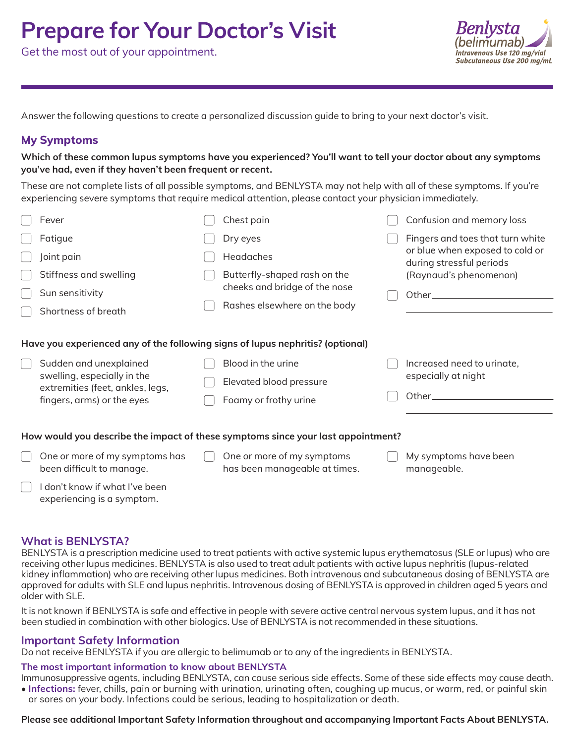# **Prepare for Your Doctor's Visit**

Get the most out of your appointment.



Answer the following questions to create a personalized discussion guide to bring to your next doctor's visit.

## **My Symptoms**

**Which of these common lupus symptoms have you experienced? You'll want to tell your doctor about any symptoms you've had, even if they haven't been frequent or recent.**

These are not complete lists of all possible symptoms, and BENLYSTA may not help with all of these symptoms. If you're experiencing severe symptoms that require medical attention, please contact your physician immediately.

|                                                                                  | Fever                                                                                                                   |  | Chest pain                                                    |  | Confusion and memory loss                                                                       |  |  |  |  |
|----------------------------------------------------------------------------------|-------------------------------------------------------------------------------------------------------------------------|--|---------------------------------------------------------------|--|-------------------------------------------------------------------------------------------------|--|--|--|--|
|                                                                                  | Fatigue                                                                                                                 |  | Dry eyes                                                      |  | Fingers and toes that turn white<br>or blue when exposed to cold or<br>during stressful periods |  |  |  |  |
|                                                                                  | Joint pain                                                                                                              |  | Headaches                                                     |  |                                                                                                 |  |  |  |  |
|                                                                                  | Stiffness and swelling                                                                                                  |  | Butterfly-shaped rash on the                                  |  | (Raynaud's phenomenon)                                                                          |  |  |  |  |
|                                                                                  | Sun sensitivity                                                                                                         |  | cheeks and bridge of the nose<br>Rashes elsewhere on the body |  |                                                                                                 |  |  |  |  |
|                                                                                  | Shortness of breath                                                                                                     |  |                                                               |  |                                                                                                 |  |  |  |  |
| Have you experienced any of the following signs of lupus nephritis? (optional)   |                                                                                                                         |  |                                                               |  |                                                                                                 |  |  |  |  |
|                                                                                  | Sudden and unexplained<br>swelling, especially in the<br>extremities (feet, ankles, legs,<br>fingers, arms) or the eyes |  | Blood in the urine                                            |  | Increased need to urinate,                                                                      |  |  |  |  |
|                                                                                  |                                                                                                                         |  | Elevated blood pressure                                       |  | especially at night                                                                             |  |  |  |  |
|                                                                                  |                                                                                                                         |  | Foamy or frothy urine                                         |  | Other $\_\_$                                                                                    |  |  |  |  |
|                                                                                  |                                                                                                                         |  |                                                               |  |                                                                                                 |  |  |  |  |
| How would you describe the impact of these symptoms since your last appointment? |                                                                                                                         |  |                                                               |  |                                                                                                 |  |  |  |  |
|                                                                                  | One or more of my symptoms has<br>been difficult to manage.                                                             |  | One or more of my symptoms<br>has been manageable at times.   |  | My symptoms have been<br>manageable.                                                            |  |  |  |  |
|                                                                                  | don't know if what I've been<br>experiencing is a symptom.                                                              |  |                                                               |  |                                                                                                 |  |  |  |  |

## **What is BENLYSTA?**

BENLYSTA is a prescription medicine used to treat patients with active systemic lupus erythematosus (SLE or lupus) who are receiving other lupus medicines. BENLYSTA is also used to treat adult patients with active lupus nephritis (lupus-related kidney inflammation) who are receiving other lupus medicines. Both intravenous and subcutaneous dosing of BENLYSTA are approved for adults with SLE and lupus nephritis. Intravenous dosing of BENLYSTA is approved in children aged 5 years and older with SLE.

It is not known if BENLYSTA is safe and effective in people with severe active central nervous system lupus, and it has not been studied in combination with other biologics. Use of BENLYSTA is not recommended in these situations.

## **Important Safety Information**

Do not receive BENLYSTA if you are allergic to belimumab or to any of the ingredients in BENLYSTA.

#### **The most important information to know about BENLYSTA**

Immunosuppressive agents, including BENLYSTA, can cause serious side effects. Some of these side effects may cause death. • **Infections:** fever, chills, pain or burning with urination, urinating often, coughing up mucus, or warm, red, or painful skin or sores on your body. Infections could be serious, leading to hospitalization or death.

**Please see additional Important Safety Information throughout and accompanying Important Facts About BENLYSTA.**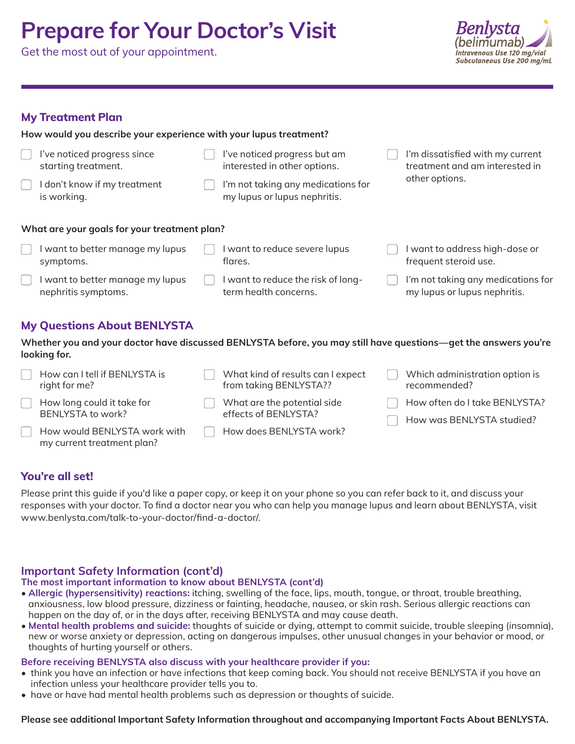# **Prepare for Your Doctor's Visit**

Get the most out of your appointment.



## **My Treatment Plan**

symptoms.

**How would you describe your experience with your lupus treatment?**

- **What are your goals for your treatment plan?**  $\Box$  I've noticed progress since starting treatment.  $\Box$  I don't know if my treatment is working.  $\Box$  I've noticed progress but am interested in other options. I'm not taking any medications for my lupus or lupus nephritis. I'm dissatisfied with my current treatment and am interested in other options.  $\Box$  I want to better manage my lupus
- I want to better manage my lupus nephritis symptoms.
- $\Box$  I want to reduce severe lupus flares.
	- I want to reduce the risk of longterm health concerns.
- $\Box$  I want to address high-dose or frequent steroid use.
- I'm not taking any medications for my lupus or lupus nephritis.

# **My Questions About BENLYSTA**

**Whether you and your doctor have discussed BENLYSTA before, you may still have questions—get the answers you're looking for.**

| How can I tell if BENLYSTA is<br>right for me?             | What kind of results can I expect<br>from taking BENLYSTA?? | Which administration option is<br>recommended?             |
|------------------------------------------------------------|-------------------------------------------------------------|------------------------------------------------------------|
| How long could it take for<br>BENLYSTA to work?            | What are the potential side<br>effects of BENLYSTA?         | How often do I take BENLYSTA?<br>How was BENLYSTA studied? |
| How would BENLYSTA work with<br>my current treatment plan? | How does BENLYSTA work?                                     |                                                            |

# **You're all set!**

Please print this guide if you'd like a paper copy, or keep it on your phone so you can refer back to it, and discuss your responses with your doctor. To find a doctor near you who can help you manage lupus and learn about BENLYSTA, visit www.benlysta.com/talk-to-your-doctor/find-a-doctor/.

# **Important Safety Information (cont'd)**

# **The most important information to know about BENLYSTA (cont'd)**

- **Allergic (hypersensitivity) reactions:** itching, swelling of the face, lips, mouth, tongue, or throat, trouble breathing, anxiousness, low blood pressure, dizziness or fainting, headache, nausea, or skin rash. Serious allergic reactions can happen on the day of, or in the days after, receiving BENLYSTA and may cause death.
- **Mental health problems and suicide:** thoughts of suicide or dying, attempt to commit suicide, trouble sleeping (insomnia), new or worse anxiety or depression, acting on dangerous impulses, other unusual changes in your behavior or mood, or thoughts of hurting yourself or others.

# **Before receiving BENLYSTA also discuss with your healthcare provider if you:**

- think you have an infection or have infections that keep coming back. You should not receive BENLYSTA if you have an infection unless your healthcare provider tells you to.
- have or have had mental health problems such as depression or thoughts of suicide.

# **Please see additional Important Safety Information throughout and accompanying Important Facts About BENLYSTA.**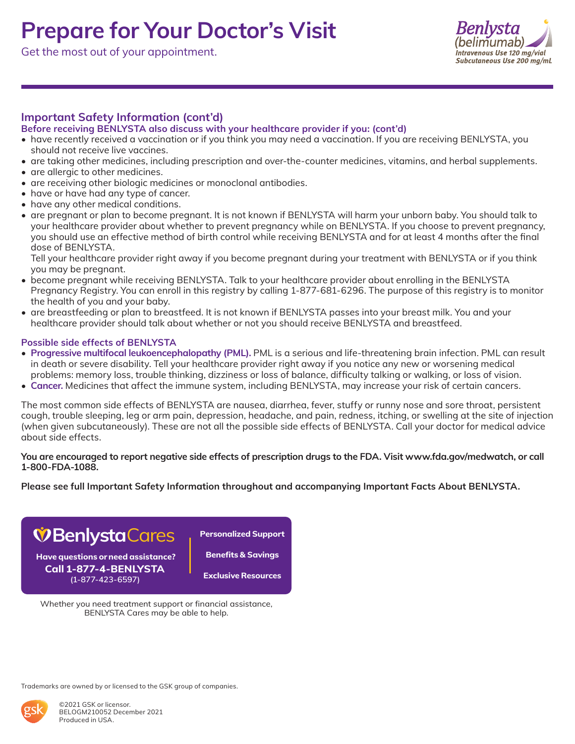# **Prepare for Your Doctor's Visit**

Get the most out of your appointment.



# **Important Safety Information (cont'd)**

### **Before receiving BENLYSTA also discuss with your healthcare provider if you: (cont'd)**

- have recently received a vaccination or if you think you may need a vaccination. If you are receiving BENLYSTA, you should not receive live vaccines.
- are taking other medicines, including prescription and over-the-counter medicines, vitamins, and herbal supplements.
- are allergic to other medicines.
- are receiving other biologic medicines or monoclonal antibodies.
- have or have had any type of cancer.
- have any other medical conditions.
- are pregnant or plan to become pregnant. It is not known if BENLYSTA will harm your unborn baby. You should talk to your healthcare provider about whether to prevent pregnancy while on BENLYSTA. If you choose to prevent pregnancy, you should use an effective method of birth control while receiving BENLYSTA and for at least 4 months after the final dose of BENLYSTA.

Tell your healthcare provider right away if you become pregnant during your treatment with BENLYSTA or if you think you may be pregnant.

- become pregnant while receiving BENLYSTA. Talk to your healthcare provider about enrolling in the BENLYSTA Pregnancy Registry. You can enroll in this registry by calling 1-877-681-6296. The purpose of this registry is to monitor the health of you and your baby.
- are breastfeeding or plan to breastfeed. It is not known if BENLYSTA passes into your breast milk. You and your healthcare provider should talk about whether or not you should receive BENLYSTA and breastfeed.

#### **Possible side effects of BENLYSTA**

- **Progressive multifocal leukoencephalopathy (PML).** PML is a serious and life-threatening brain infection. PML can result in death or severe disability. Tell your healthcare provider right away if you notice any new or worsening medical problems: memory loss, trouble thinking, dizziness or loss of balance, difficulty talking or walking, or loss of vision.
- **Cancer.** Medicines that affect the immune system, including BENLYSTA, may increase your risk of certain cancers.

The most common side effects of BENLYSTA are nausea, diarrhea, fever, stuffy or runny nose and sore throat, persistent cough, trouble sleeping, leg or arm pain, depression, headache, and pain, redness, itching, or swelling at the site of injection (when given subcutaneously). These are not all the possible side effects of BENLYSTA. Call your doctor for medical advice about side effects.

#### **You are encouraged to report negative side effects of prescription drugs to the FDA. Visit www.fda.gov/medwatch, or call 1-800-FDA-1088.**

**Please see full Important Safety Information throughout and accompanying Important Facts About BENLYSTA.**



**(1-877-423-6597)**

**Benefits & Savings**

**Exclusive Resources**

Whether you need treatment support or financial assistance, BENLYSTA Cares may be able to help.

Trademarks are owned by or licensed to the GSK group of companies.